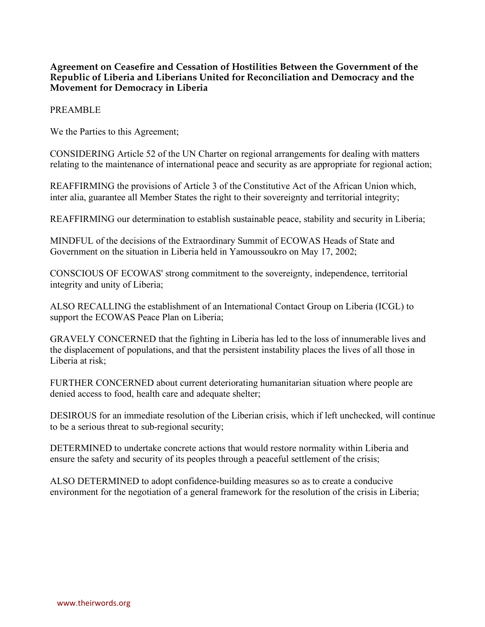## **Agreement on Ceasefire and Cessation of Hostilities Between the Government of the Republic of Liberia and Liberians United for Reconciliation and Democracy and the Movement for Democracy in Liberia**

## PREAMBLE

We the Parties to this Agreement;

CONSIDERING Article 52 of the UN Charter on regional arrangements for dealing with matters relating to the maintenance of international peace and security as are appropriate for regional action;

REAFFIRMING the provisions of Article 3 of the Constitutive Act of the African Union which, inter alia, guarantee all Member States the right to their sovereignty and territorial integrity;

REAFFIRMING our determination to establish sustainable peace, stability and security in Liberia;

MINDFUL of the decisions of the Extraordinary Summit of ECOWAS Heads of State and Government on the situation in Liberia held in Yamoussoukro on May 17, 2002;

CONSCIOUS OF ECOWAS' strong commitment to the sovereignty, independence, territorial integrity and unity of Liberia;

ALSO RECALLING the establishment of an International Contact Group on Liberia (ICGL) to support the ECOWAS Peace Plan on Liberia;

GRAVELY CONCERNED that the fighting in Liberia has led to the loss of innumerable lives and the displacement of populations, and that the persistent instability places the lives of all those in Liberia at risk;

FURTHER CONCERNED about current deteriorating humanitarian situation where people are denied access to food, health care and adequate shelter;

DESIROUS for an immediate resolution of the Liberian crisis, which if left unchecked, will continue to be a serious threat to sub-regional security;

DETERMINED to undertake concrete actions that would restore normality within Liberia and ensure the safety and security of its peoples through a peaceful settlement of the crisis;

ALSO DETERMINED to adopt confidence-building measures so as to create a conducive environment for the negotiation of a general framework for the resolution of the crisis in Liberia;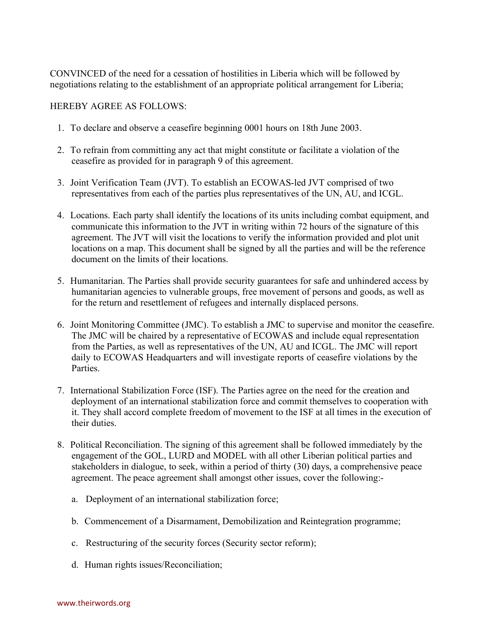CONVINCED of the need for a cessation of hostilities in Liberia which will be followed by negotiations relating to the establishment of an appropriate political arrangement for Liberia;

## HEREBY AGREE AS FOLLOWS:

- 1. To declare and observe a ceasefire beginning 0001 hours on 18th June 2003.
- 2. To refrain from committing any act that might constitute or facilitate a violation of the ceasefire as provided for in paragraph 9 of this agreement.
- 3. Joint Verification Team (JVT). To establish an ECOWAS-led JVT comprised of two representatives from each of the parties plus representatives of the UN, AU, and ICGL.
- 4. Locations. Each party shall identify the locations of its units including combat equipment, and communicate this information to the JVT in writing within 72 hours of the signature of this agreement. The JVT will visit the locations to verify the information provided and plot unit locations on a map. This document shall be signed by all the parties and will be the reference document on the limits of their locations.
- 5. Humanitarian. The Parties shall provide security guarantees for safe and unhindered access by humanitarian agencies to vulnerable groups, free movement of persons and goods, as well as for the return and resettlement of refugees and internally displaced persons.
- 6. Joint Monitoring Committee (JMC). To establish a JMC to supervise and monitor the ceasefire. The JMC will be chaired by a representative of ECOWAS and include equal representation from the Parties, as well as representatives of the UN, AU and ICGL. The JMC will report daily to ECOWAS Headquarters and will investigate reports of ceasefire violations by the Parties.
- 7. International Stabilization Force (ISF). The Parties agree on the need for the creation and deployment of an international stabilization force and commit themselves to cooperation with it. They shall accord complete freedom of movement to the ISF at all times in the execution of their duties.
- 8. Political Reconciliation. The signing of this agreement shall be followed immediately by the engagement of the GOL, LURD and MODEL with all other Liberian political parties and stakeholders in dialogue, to seek, within a period of thirty (30) days, a comprehensive peace agreement. The peace agreement shall amongst other issues, cover the following:
	- a. Deployment of an international stabilization force;
	- b. Commencement of a Disarmament, Demobilization and Reintegration programme;
	- c. Restructuring of the security forces (Security sector reform);
	- d. Human rights issues/Reconciliation;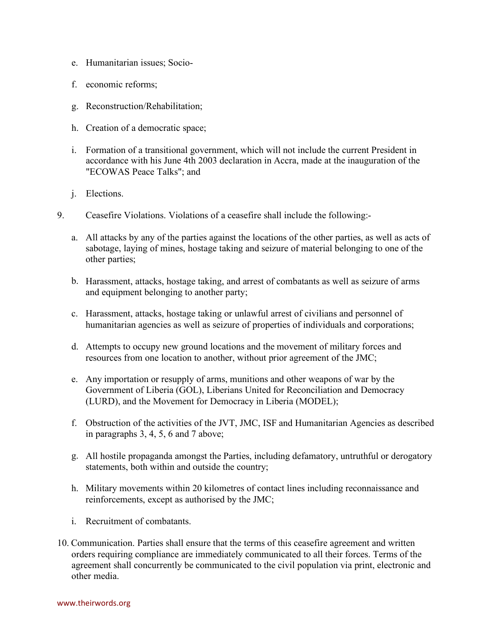- e. Humanitarian issues; Socio-
- f. economic reforms;
- g. Reconstruction/Rehabilitation;
- h. Creation of a democratic space;
- i. Formation of a transitional government, which will not include the current President in accordance with his June 4th 2003 declaration in Accra, made at the inauguration of the "ECOWAS Peace Talks"; and
- j. Elections.
- 9. Ceasefire Violations. Violations of a ceasefire shall include the following:
	- a. All attacks by any of the parties against the locations of the other parties, as well as acts of sabotage, laying of mines, hostage taking and seizure of material belonging to one of the other parties;
	- b. Harassment, attacks, hostage taking, and arrest of combatants as well as seizure of arms and equipment belonging to another party;
	- c. Harassment, attacks, hostage taking or unlawful arrest of civilians and personnel of humanitarian agencies as well as seizure of properties of individuals and corporations;
	- d. Attempts to occupy new ground locations and the movement of military forces and resources from one location to another, without prior agreement of the JMC;
	- e. Any importation or resupply of arms, munitions and other weapons of war by the Government of Liberia (GOL), Liberians United for Reconciliation and Democracy (LURD), and the Movement for Democracy in Liberia (MODEL);
	- f. Obstruction of the activities of the JVT, JMC, ISF and Humanitarian Agencies as described in paragraphs 3, 4, 5, 6 and 7 above;
	- g. All hostile propaganda amongst the Parties, including defamatory, untruthful or derogatory statements, both within and outside the country;
	- h. Military movements within 20 kilometres of contact lines including reconnaissance and reinforcements, except as authorised by the JMC;
	- i. Recruitment of combatants.
- 10. Communication. Parties shall ensure that the terms of this ceasefire agreement and written orders requiring compliance are immediately communicated to all their forces. Terms of the agreement shall concurrently be communicated to the civil population via print, electronic and other media.